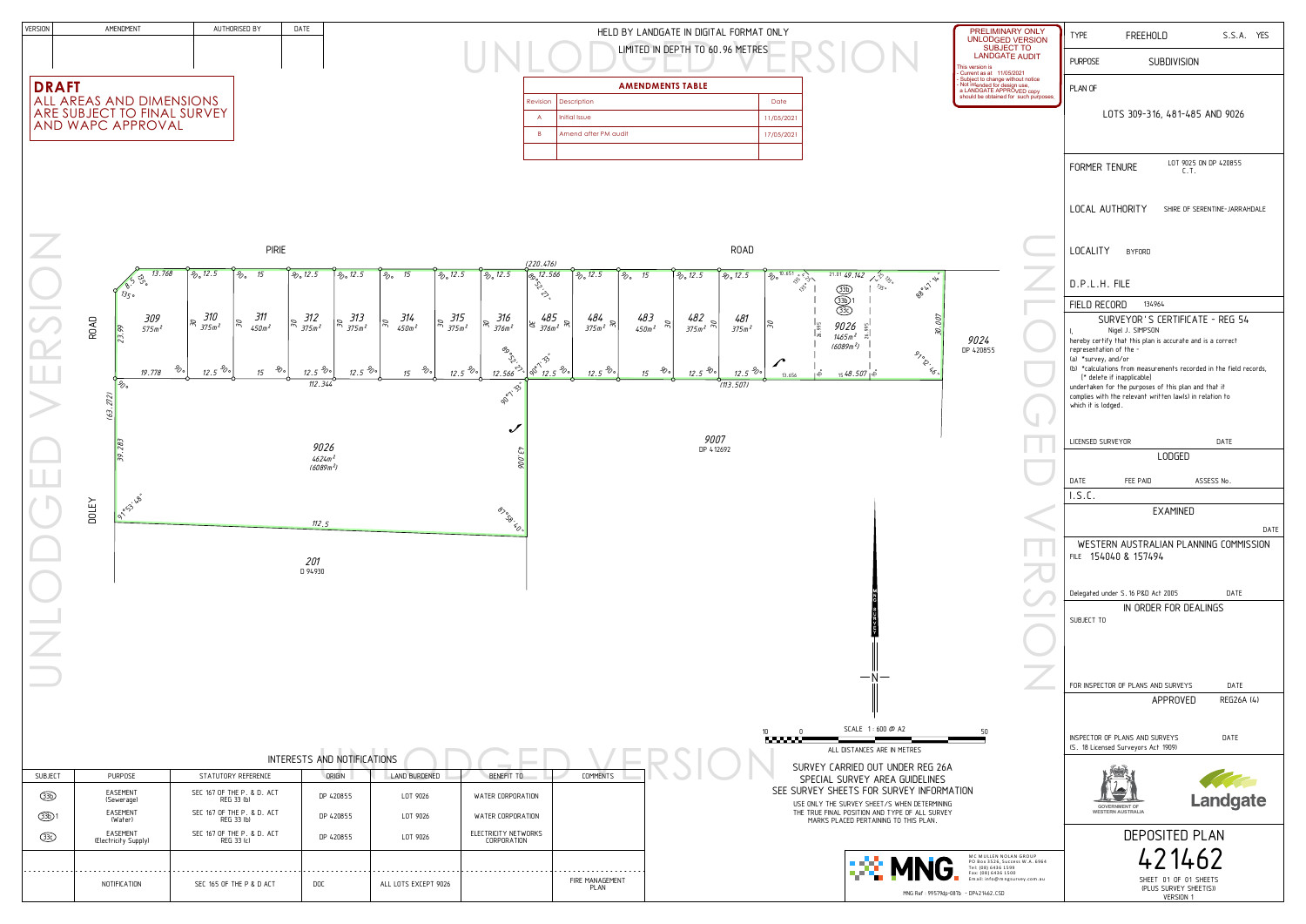

|              | <b>PIRIE</b>                      |                                    |                                        |                                                               |                                |                                  |                             |                                       |                                                  |                              |                       |                                     |                                                 | ROAD                           |                       |                             |
|--------------|-----------------------------------|------------------------------------|----------------------------------------|---------------------------------------------------------------|--------------------------------|----------------------------------|-----------------------------|---------------------------------------|--------------------------------------------------|------------------------------|-----------------------|-------------------------------------|-------------------------------------------------|--------------------------------|-----------------------|-----------------------------|
|              |                                   |                                    |                                        |                                                               |                                |                                  |                             | (220.476)                             |                                                  |                              |                       |                                     |                                                 |                                |                       |                             |
|              | 13.768<br>85.56                   | $\frac{2}{20}$ , 12.5              | 15<br>$\overline{\mathscr{L}_{\circ}}$ | $\frac{2}{00}$ , 12.5                                         | $\frac{1}{20}$ , 12.5          | $\overline{\mathscr{L}_{\circ}}$ | 15                          | $\frac{1}{20}$ , 12.5                 | $\frac{1}{20}$ , 12.5                            | Co 12.566                    | $\frac{1}{20}$ , 12.5 | 15<br>$\overline{\mathscr{L}}\circ$ |                                                 | $\frac{1}{2}$ $\frac{1}{2}$ .5 | $\frac{1}{20}$ , 12.5 | ą                           |
| ROAD         | 309<br>575m <sup>2</sup><br>23.99 | $310$<br>$375m^2$<br>$\mathcal{E}$ | 311<br>$\approx$<br>$450m^2$           | $\Bigg  \underset{\mathcal{P}_1}{\approx} \frac{312}{375m^2}$ | $313$<br>$375m^2$<br>$\approx$ | $ \mathscr{E} $                  | $\frac{314}{450m^2}$        | $\frac{315}{375m^2}$<br>$\mathcal{B}$ | $\frac{316}{376m^2}$<br>$\mathcal{G}\mathcal{E}$ | $\approx \frac{485}{376m^2}$ | $484$<br>375 $m^2$    | $483$<br>$450$ m $^2$               | $\mathscr{E}$                                   | $482$<br>375m <sup>2</sup>     | $481$<br>$375m2$      | $\mathcal{B}_{\mathcal{C}}$ |
|              | $\mathcal{L}_{\circ}$<br>19.778   | $12.5$ $80$                        | $\mathcal{L}_{\infty}$<br>15           | $\frac{12.5}{8}$                                              | $\frac{12.5}{8}$               |                                  | $\mathcal{L}_{\circ}$<br>15 | $\frac{12.5}{8}$                      | Established<br>12.566                            | $\sqrt{\frac{x^3}{8}}$       | $12.5\%$              | 15                                  | $\mathcal{S}_{\!\scriptscriptstyle\mathcal{O}}$ | $12.5^{\circ}$                 | $12.5\%$              |                             |
| (63.272)     | $\mathscr{E}_{\infty}$            |                                    |                                        | 112.344                                                       |                                |                                  |                             |                                       | <b>Pont 33 11</b>                                |                              |                       |                                     |                                                 |                                | (113.507)             |                             |
|              |                                   |                                    |                                        |                                                               |                                |                                  |                             |                                       | $\boldsymbol{\mathcal{U}}$                       |                              |                       |                                     |                                                 |                                |                       |                             |
|              | 39.283                            |                                    |                                        | 9026<br>.<br>4624m <sup>2</sup><br>(6089m <sup>2</sup> )      |                                |                                  |                             |                                       | 43.006                                           |                              |                       |                                     |                                                 | $9007$ DP 412692               |                       |                             |
| <b>DOLEY</b> |                                   |                                    |                                        | 112.5                                                         |                                |                                  |                             |                                       | 87° 50'                                          |                              |                       |                                     |                                                 |                                |                       |                             |
|              |                                   |                                    |                                        | $\frac{201}{0.94930}$                                         |                                |                                  |                             |                                       |                                                  |                              |                       |                                     |                                                 |                                |                       |                             |



|                |                                  |                                          | INTERESTS AND NOTIFICATIONS |                      |                                     |                         |  |
|----------------|----------------------------------|------------------------------------------|-----------------------------|----------------------|-------------------------------------|-------------------------|--|
| <b>SUBJECT</b> | <b>PURPOSE</b>                   | STATUTORY REFERENCE                      | ORIGIN                      | LAND BURDENED        | BENEFIT TO                          | COMMENTS                |  |
| (3)            | EASEMENT<br>(Sewerage)           | SEC 167 OF THE P. & D. ACT<br>REG 33 (b) | DP 420855                   | LOT 9026             | WATER CORPORATION                   |                         |  |
| $(B)$ 1        | EASEMENT<br>(Water)              | SEC 167 OF THE P. & D. ACT<br>REG 33 (b) | DP 420855                   | LOT 9026             | WATER CORPORATION                   |                         |  |
| $\circled{3}$  | EASEMENT<br>(Electricity Supply) | SEC 167 OF THE P. & D. ACT<br>REG 33 (c) | DP 420855                   | LOT 9026             | ELECTRICITY NETWORKS<br>CORPORATION |                         |  |
|                |                                  |                                          |                             |                      |                                     |                         |  |
|                | NOTIFICATION                     | SEC 165 OF THE P & D ACT                 | DOC                         | ALL LOTS EXCEPT 9026 |                                     | FIRE MANAGEMENT<br>PLAN |  |

| Y LANDGATE IN DIGITAL FORMAT ONLY                                                                                                                                                                                | PRELIMINARY ONLY<br><b>UNLODGED VERSION</b>                                                                                                                             | <b>TYPE</b><br><b>FREEHOLD</b><br>S.S.A. YES                                                                                            |  |  |  |
|------------------------------------------------------------------------------------------------------------------------------------------------------------------------------------------------------------------|-------------------------------------------------------------------------------------------------------------------------------------------------------------------------|-----------------------------------------------------------------------------------------------------------------------------------------|--|--|--|
| MITED IN DEPTH TO 60.96 METRES                                                                                                                                                                                   | <b>SUBJECT TO</b><br><b>LANDGATE AUDIT</b><br>This version is                                                                                                           | <b>SUBDIVISION</b><br><b>PURPOSE</b>                                                                                                    |  |  |  |
| <b>MENDMENTS TABLE</b>                                                                                                                                                                                           | - Current as at 11/05/2021<br>- Subject to change without notice<br>- Not intended for design use,<br>a LANDGATE APPROVED copy<br>should be obtained for such purposes. | PLAN OF                                                                                                                                 |  |  |  |
| Date<br>11/05/2021                                                                                                                                                                                               |                                                                                                                                                                         | LOTS 309-316, 481-485 AND 9026                                                                                                          |  |  |  |
| 17/05/2021                                                                                                                                                                                                       |                                                                                                                                                                         |                                                                                                                                         |  |  |  |
|                                                                                                                                                                                                                  |                                                                                                                                                                         | LOT 9025 ON DP 420855<br>FORMER TENURE<br>C.T.                                                                                          |  |  |  |
|                                                                                                                                                                                                                  |                                                                                                                                                                         |                                                                                                                                         |  |  |  |
|                                                                                                                                                                                                                  |                                                                                                                                                                         | LOCAL AUTHORITY<br>SHIRE OF SERENTINE-JARRAHDALE                                                                                        |  |  |  |
|                                                                                                                                                                                                                  |                                                                                                                                                                         |                                                                                                                                         |  |  |  |
| <b>ROAD</b>                                                                                                                                                                                                      |                                                                                                                                                                         | <b>LOCALITY</b><br><b>BYFORD</b>                                                                                                        |  |  |  |
| $\sqrt{\frac{2}{\frac{8}{10.651 \cdot 5^{10}}}}$<br>$\frac{2}{6}$ , 12.5<br>$\frac{1}{20}$ , 12.5<br>15<br>21.01 49.142<br>$X_{12}^{15}$ $3^{6}$<br>80 12 / 21/2 11<br>ر د<br>$\mathcal{B}_{\mathcal{S} \circ}$  |                                                                                                                                                                         | D.P.L.H. FILE                                                                                                                           |  |  |  |
| <b>BD</b>                                                                                                                                                                                                        |                                                                                                                                                                         | FIELD RECORD<br>134964                                                                                                                  |  |  |  |
| 483<br>482<br>481<br>30.007<br>$375m^2$ m  <br>$\mathcal{E}$<br>$\approx$<br>9026<br>$\frac{1}{26.995}$<br>995<br>450m <sup>2</sup><br>375m <sup>2</sup><br>26<br>$1465m^2$                                      | 9024                                                                                                                                                                    | SURVEYOR'S CERTIFICATE - REG 54<br>Nigel J. SIMPSON<br>hereby certify that this plan is accurate and is a correct                       |  |  |  |
| (6089 <sup>2</sup> )<br>$\mathcal{S}_{\mathcal{F}\circ}$<br>↗                                                                                                                                                    | DP 420855                                                                                                                                                               | representation of the -<br>(a) *survey, and/or                                                                                          |  |  |  |
| $\overline{\begin{matrix} 1 & 1\\ 1 & 1\\ 1 & 1\\ 1 & 1 \end{matrix}}$<br>$\mathcal{S}_{\!\!\mathscr{O}\,\mathtt{o}}$<br>$12.5\%$<br>$\frac{12.5}{8}$<br><u>15 48.507  </u> నీ<br>15<br>13.656<br>℅<br>(113.507) |                                                                                                                                                                         | (b) *calculations from measurements recorded in the field records,<br>[* delete if inapplicable]                                        |  |  |  |
|                                                                                                                                                                                                                  |                                                                                                                                                                         | undertaken for the purposes of this plan and that it<br>complies with the relevant written law(s) in relation to<br>which it is lodged. |  |  |  |
|                                                                                                                                                                                                                  |                                                                                                                                                                         |                                                                                                                                         |  |  |  |
| 9007<br>DP 412692                                                                                                                                                                                                |                                                                                                                                                                         | LICENSED SURVEYOR<br>DATE                                                                                                               |  |  |  |
|                                                                                                                                                                                                                  |                                                                                                                                                                         | LODGED                                                                                                                                  |  |  |  |
|                                                                                                                                                                                                                  |                                                                                                                                                                         | DATE<br>ASSESS No.<br>FEE PAID<br>I.S.C.                                                                                                |  |  |  |
|                                                                                                                                                                                                                  |                                                                                                                                                                         | <b>EXAMINED</b>                                                                                                                         |  |  |  |
|                                                                                                                                                                                                                  |                                                                                                                                                                         | DATE                                                                                                                                    |  |  |  |
|                                                                                                                                                                                                                  |                                                                                                                                                                         | WESTERN AUSTRALIAN PLANNING COMMISSION<br>FILE 154040 & 157494                                                                          |  |  |  |
|                                                                                                                                                                                                                  |                                                                                                                                                                         |                                                                                                                                         |  |  |  |
|                                                                                                                                                                                                                  |                                                                                                                                                                         | Delegated under S. 16 P&D Act 2005<br>DATE<br>IN ORDER FOR DEALINGS                                                                     |  |  |  |
|                                                                                                                                                                                                                  |                                                                                                                                                                         | SUBJECT TO                                                                                                                              |  |  |  |
|                                                                                                                                                                                                                  |                                                                                                                                                                         |                                                                                                                                         |  |  |  |
|                                                                                                                                                                                                                  |                                                                                                                                                                         |                                                                                                                                         |  |  |  |
|                                                                                                                                                                                                                  |                                                                                                                                                                         | DATE<br>FOR INSPECTOR OF PLANS AND SURVEYS<br>APPROVED<br>REG26A (4)                                                                    |  |  |  |
|                                                                                                                                                                                                                  |                                                                                                                                                                         |                                                                                                                                         |  |  |  |
| SCALE 1:600 @ A2<br>10<br>0<br><b>Personal Pro</b><br>ALL DISTANCES ARE IN METRES                                                                                                                                | 50                                                                                                                                                                      | INSPECTOR OF PLANS AND SURVEYS<br>DATE<br>(S. 18 Licensed Surveyors Act 1909)                                                           |  |  |  |
| SURVEY CARRIED OUT UNDER REG 26A                                                                                                                                                                                 |                                                                                                                                                                         |                                                                                                                                         |  |  |  |
| SPECIAL SURVEY AREA GUIDELINES<br>SEE SURVEY SHEETS FOR SURVEY INFORMATION                                                                                                                                       |                                                                                                                                                                         | <b>Contract Contract Contract Contract Contract Contract Contract Contract Contract Contract Contract Contract Co</b>                   |  |  |  |
| USE ONLY THE SURVEY SHEET/S WHEN DETERMINING<br>THE TRUE FINAL POSITION AND TYPE OF ALL SURVEY<br>MARKS PLACED PERTAINING TO THIS PLAN.                                                                          |                                                                                                                                                                         | Landgate<br><b>GOVERNMENT OF</b><br><b>WESTERN AUSTRALIA</b>                                                                            |  |  |  |
|                                                                                                                                                                                                                  |                                                                                                                                                                         | <b>DEPOSITED PLAN</b>                                                                                                                   |  |  |  |
| œ<br>MNG,                                                                                                                                                                                                        | MC MULLEN NOLAN GROUP<br>PO Box 3526, Success W.A. 6964<br>Tel: (08) 6436 1599                                                                                          | 421462                                                                                                                                  |  |  |  |
|                                                                                                                                                                                                                  | Fax: (08) 6436 1500<br>Email: info@mngsurvey.com.au                                                                                                                     | SHEET 01 OF 01 SHEETS<br>(PLUS SURVEY SHEET(S))                                                                                         |  |  |  |
|                                                                                                                                                                                                                  | MNG Ref: 99579dp-087b - DP421462.CSD                                                                                                                                    | VERSION 1                                                                                                                               |  |  |  |